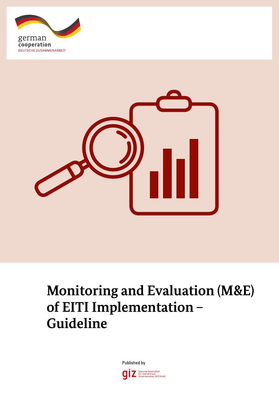



# **Monitoring and Evaluation (M&E) of EITI Implementation – Guideline**

Published by

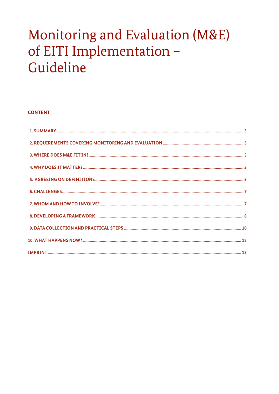## Monitoring and Evaluation (M&E) of EITI Implementation -Guideline

### **CONTENT**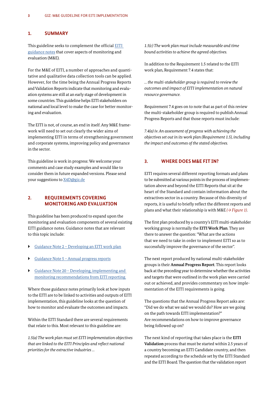#### **1. SUMMARY**

This guideline seeks to complement the official EITI guidance notes that cover aspects of monitoring and evaluation (M&E).

For the M&E of EITI, a number of approaches and quantitative and qualitative data collection tools can be applied. However, for the time being the Annual Progress Reports and Validation Reports indicate that monitoring and evaluation systems are still at an early stage of development in some countries. This guideline helps EITI stakeholders on national and local level to make the case for better monitoring and evaluation.

The EITI is not, of course, an end in itself. Any M&E framework will need to set out clearly the wider aims of implementing EITI in terms of strengthening government and corporate systems, improving policy and governance in the sector.

This guideline is work in progress: We welcome your comments and case study examples and would like to consider them in future expanded versions. Please send your suggestions to X4D@giz.de

#### **2. REQUIREMENTS COVERING MONITORING AND EVALUATION**

This guideline has been produced to expand upon the monitoring and evaluation components of several existing EITI guidance notes. Guidance notes that are relevant to this topic include:

- Guidance Note 2 Developing an EITI work plan
- ` Guidance Note 5 Annual progress reports
- $\triangleright$  Guidance Note 20 Developing, implementing and monitoring recommendations from EITI reporting.

Where those guidance notes primarily look at how inputs to the EITI are to be linked to activities and outputs of EITI implementation, this guideline looks at the question of how to monitor and evaluate the outcomes and impacts.

Within the EITI Standard there are several requirements that relate to this. Most relevant to this guideline are:

*1.5(a) The work plan must set EITI implementation objectives that are linked to the EITI Principles and reflect national priorities for the extractive industries …*

*1.5(c) The work plan must include measurable and time bound activities to achieve the agreed objectives.*

In addition to the Requirement 1.5 related to the EITI work plan, Requirement 7.4 states that:

*… the multi-stakeholder group is required to review the outcomes and impact of EITI implementation on natural resource governance.*

Requirement 7.4 goes on to note that as part of this review the multi-stakeholder group is required to publish Annual Progress Reports and that those reports must include:

*7.4(a) iv. An assessment of progress with achieving the objectives set out in its work plan (Requirement 1.5), including the impact and outcomes of the stated objectives.*

#### **3. WHERE DOES M&E FIT IN?**

EITI requires several different reporting formats and plans to be submitted at various points in the process of implementation above and beyond the EITI Reports that sit at the heart of the Standard and contain information about the extractives sector in a country. Because of this diversity of reports, it is useful to briefly reflect the different reports and plans and what their relationship is with M&E *(→ Figure 1)*.

The first plan produced by a country's EITI multi-stakeholder working group is normally the **EITI Work Plan**. They are there to answer the question: "What are the actions that we need to take in order to implement EITI so as to successfully improve the governance of the sector".

The next report produced by national multi-stakeholder groups is their **Annual Progress Report**. This report looks back at the preceding year to determine whether the activities and targets that were outlined in the work plan were carried out or achieved, and provides commentary on how implementation of the EITI requirements is going.

The questions that the Annual Progress Report asks are: "Did we do what we said we would do? How are we going on the path towards EITI implementation?" Are recommendations on how to improve governance being followed up on?

The next kind of reporting that takes place is the **EITI Validation** process that must be started within 2.5 years of a country becoming an EITI Candidate country, and then repeated according to the schedule set by the EITI Standard and the EITI Board. The question that the validation report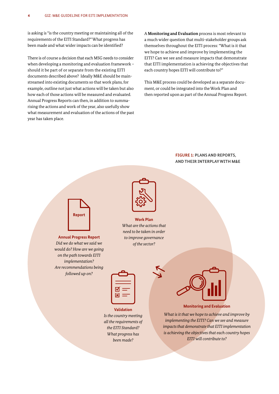is asking is "is the country meeting or maintaining all of the requirements of the EITI Standard?" What progress has been made and what wider impacts can be identified?

There is of course a decision that each MSG needs to consider when developing a monitoring and evaluation framework – should it be part of or separate from the existing EITI documents described above? Ideally M&E should be mainstreamed into existing documents so that work plans, for example, outline not just what actions will be taken but also how each of those actions will be measured and evaluated. Annual Progress Reports can then, in addition to summarising the actions and work of the year, also usefully show what measurement and evaluation of the actions of the past year has taken place.

A **Monitoring and Evaluation** process is most relevant to a much wider question that multi-stakeholder groups ask themselves throughout the EITI process: "What is it that we hope to achieve and improve by implementing the EITI? Can we see and measure impacts that demonstrate that EITI implementation is achieving the objectives that each country hopes EITI will contribute to?"

This M&E process could be developed as a separate document, or could be integrated into the Work Plan and then reported upon as part of the Annual Progress Report.

#### **FIGURE 1: PLANS AND REPORTS, AND THEIR INTERPLAY WITH M&E**



**Annual Progress Report** *Did we do what we said we would do? How are we going on the path towards EITI implementation? Are recommendations being followed up on?*



**Work Plan** *What are the actions that need to be taken in order to improve governance of the sector?*

| ☑ |
|---|
| 図 |

**Validation** *Is the country meeting all the requirements of the EITI Standard? What progress has been made?*



**Monitoring and Evaluation**

*What is it that we hope to achieve and improve by implementing the EITI? Can we see and measure impacts that demonstrate that EITI implementation is achieving the objectives that each country hopes EITI will contribute to?*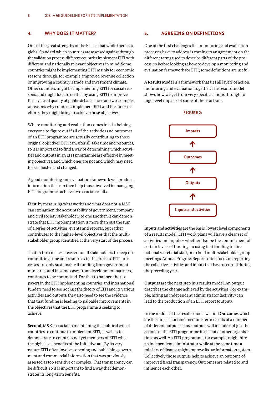#### **4. WHY DOES IT MATTER?**

One of the great strengths of the EITI is that while there is a global Standard which countries are assessed against through the validation process, different countries implement EITI with different and nationally relevant objectives in mind. Some countries might be implementing EITI mainly for economic reasons through, for example, improved revenue collection or improving a country's trade and investment climate. Other countries might be implementing EITI for social reasons, and might look to do that by using EITI to improve the level and quality of public debate. These are two examples of reasons why countries implement EITI and the kinds of efforts they might bring to achieve those objectives.

Where monitoring and evaluation comes in is in helping everyone to figure out if all of the activities and outcomes of an EITI programme are actually contributing to those original objectives. EITI can, after all, take time and resources, so it is important to find a way of determining which activities and outputs in an EITI programme are effective in meeting objectives, and which ones are not and which may need to be adjusted and changed.

A good monitoring and evaluation framework will produce information that can then help those involved in managing EITI programmes achieve two crucial results.

**First**, by measuring what works and what does not, a M&E can strengthen the accountability of government, company and civil society stakeholders to one another. It can demonstrate that EITI implementation is more than just the sum of a series of activities, events and reports, but rather contributes to the higher-level objectives that the multistakeholder group identified at the very start of the process.

That in turn makes it easier for all stakeholders to keep on committing time and resources to the process. EITI processes are only sustainable if funding from government ministries and in some cases from development partners, continues to be committed. For that to happen the tax payers in the EITI implementing countries and international funders need to see not just the theory of EITI and its various activities and outputs, they also need to see the evidence that that funding is leading to palpable improvements in the objectives that the EITI programme is seeking to achieve.

**Second**, M&E is crucial in maintaining the political will of countries to continue to implement EITI, as well as to demonstrate to countries not yet members of EITI what the high-level benefits of the Initiative are. By its very nature EITI often involves opening and publishing government and commercial information that was previously assessed as too sensitive or complex. That transparency can be difficult, so it is important to find a way that demonstrates its long-term benefits.

#### **5. AGREEING ON DEFINITIONS**

One of the first challenges that monitoring and evaluation processes have to address is coming to an agreement on the different terms used to describe different parts of the process, so before looking at how to develop a monitoring and evaluation framework for EITI, some definitions are useful.

A **Results Model** is a framework that ties all layers of action, monitoring and evaluation together. The results model shows how we get from very specific actions through to high level impacts of some of those actions.

**FIGURE 2:**



**Inputs and activities** are the basic, lowest level components of a results model. EITI work plans will have a clear set of activities and inputs – whether that be the commitment of certain levels of funding, to using that funding to hire national secretariat staff, or to hold multi-stakeholder group meetings. Annual Progress Reports often focus on reporting the collective activities and inputs that have occurred during the preceding year.

**Outputs** are the next step in a results model. An output describes the change achieved by the activities. For example, hiring an independent administrator (activity) can lead to the production of an EITI report (output).

In the middle of the results model we find **Outcomes** which are the direct short and medium-term results of a number of different outputs. Those outputs will include not just the actions of the EITI programme itself, but of other organisations as well. An EITI programme, for example, might hire an independent administrator while at the same time a ministry of finance might improve its tax information system. Collectively those outputs help to achieve an outcome of improved fiscal transparency. Outcomes are related to and influence each other.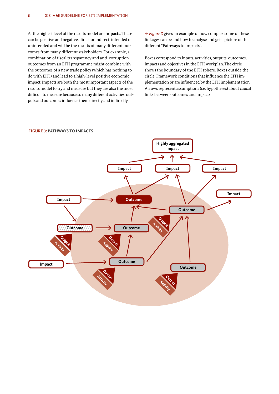At the highest level of the results model are **Impacts**. These can be positive and negative, direct or indirect, intended or unintended and will be the results of many different outcomes from many different stakeholders. For example, a combination of fiscal transparency and anti-corruption outcomes from an EITI programme might combine with the outcomes of a new trade policy (which has nothing to do with EITI) and lead to a high-level positive economic impact. Impacts are both the most important aspects of the results model to try and measure but they are also the most difficult to measure because so many different activities, outputs and outcomes influence them directly and indirectly.

*→ Figure 3* gives an example of how complex some of these linkages can be and how to analyse and get a picture of the different "Pathways to Impacts".

Boxes correspond to inputs, activities, outputs, outcomes, impacts and objectives in the EITI workplan. The circle shows the boundary of the EITI sphere. Boxes outside the circle: Framework conditions that influence the EITI implementation or are influenced by the EITI implementation. Arrows represent assumptions (i.e. hypotheses) about causal links between outcomes and impacts.



#### **FIGURE 3: PATHWAYS TO IMPACTS**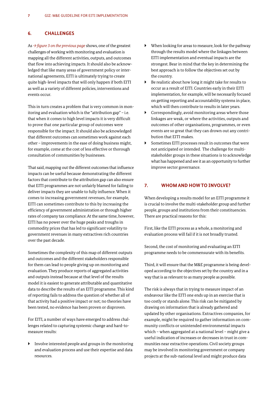#### **6. CHALLENGES**

As *→ figure 3 on the previous page* shows, one of the greatest challenges of working with monitoring and evaluation is mapping all the different activities, outputs, and outcomes that flow into achieving impacts. It should also be acknowledged that like many areas of government policy or international agreements, EITI is ultimately trying to create quite high-level impacts that will only happen if both EITI as well as a variety of different policies, interventions and events occur.

This in turn creates a problem that is very common in monitoring and evaluation which is the "attribution gap" – i.e. that when it comes to high level impacts it is very difficult to prove that one particular group of outcomes were responsible for the impact. It should also be acknowledged that different outcomes can sometimes work against each other – improvements in the ease of doing business might, for example, come at the cost of less effective or thorough consultation of communities by businesses.

That said, mapping out the different outcomes that influence impacts can be useful because demonstrating the different factors that contribute to the attribution gap can also ensure that EITI programmes are not unfairly blamed for failing to deliver impacts they are unable to fully influence. When it comes to increasing government revenues, for example, EITI can sometimes contribute to this by increasing the efficiency of government administration or through higher rates of company tax compliance. At the same time, however, EITI has no power over the huge peaks and troughs in commodity prices that has led to significant volatility to government revenues in many extractives rich countries over the past decade.

Sometimes the complexity of this map of different outputs and outcomes and the different stakeholders responsible for them can lead to people giving up on monitoring and evaluation. They produce reports of aggregated activities and outputs instead because at that level of the results model it is easiest to generate attributable and quantitative data to describe the results of an EITI programme. This kind of reporting fails to address the question of whether all of that activity had a positive impact or not; no theories have been tested, no evidence has been proven or disproven.

For EITI, a number of ways have emerged to address challenges related to capturing systemic change and hard-tomeasure results:

 $\blacktriangleright$  Involve interested people and groups in the monitoring and evaluation process and use their expertise and data resources.

- ` When looking for areas to measure, look for the pathway through the results model where the linkages between EITI implementation and eventual impacts are the strongest. Bear in mind that the key in determining the best approach is to follow the objectives set out by the country.
- Be realistic about how long it might take for results to occur as a result of EITI. Countries early in their EITI implementation, for example, will be necessarily focused on getting reporting and accountability systems in place, which will then contribute to results in later years.
- $\triangleright$  Correspondingly, avoid monitoring areas where those linkages are weak, or where the activities, outputs and outcomes of other organisations, programmes, or even events are so great that they can drown out any contribution that EITI makes.
- Sometimes EITI processes result in outcomes that were not anticipated or intended. The challenge for multistakeholder groups in these situations is to acknowledge what has happened and see it as an opportunity to further improve sector governance.

#### **7. WHOM AND HOW TO INVOLVE?**

When developing a results model for an EITI programme it is crucial to involve the multi-stakeholder group and further people, groups and institutions from their constituencies. There are practical reasons for this:

First, like the EITI process as a whole, a monitoring and evaluation process will fail if it is not broadly trusted.

Second, the cost of monitoring and evaluating an EITI programme needs to be commensurate with its benefits.

Third, it will ensure that the M&E programme is being developed according to the objectives set by the country and in a way that is as relevant to as many people as possible.

The risk is always that in trying to measure impact of an endeavour like the EITI one ends up in an exercise that is too costly or stands alone. This risk can be mitigated by drawing on information that is already gathered and updated by other organisations. Extractives companies, for example, might be required to gather information on community conflicts or unintended environmental impacts which – when aggregated at a national level – might give a useful indication of increases or decreases in trust in communities near extractive operations. Civil society groups may be involved in monitoring government or company projects at the sub-national level and might produce data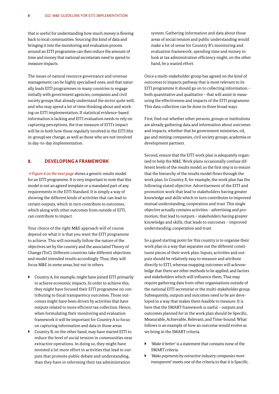that is useful for understanding how much money is flowing back to local communities. Sourcing this kind of data and bringing it into the monitoring and evaluation process around an EITI programme can then reduce the amount of time and money that national secretariats need to spend to measure impacts.

The issues of natural resource governance and revenue management can be highly specialised ones, and that naturally leads EITI programmes in many countries to engage initially with government agencies, companies and civil society groups that already understand the sector quite well, and who may spend a lot of time thinking about and working on EITI implementation. If statistical evidence-based information is lacking and EITI evaluation needs to rely on capturing perceptions, the true measure of EITI's impact will be in both how those regularly involved in the EITI (the in-group) see change, as well as those who are not involved in day-to-day implementation.

#### **8. DEVELOPING A FRAMEWORK**

*→ Figure 4 on the next page* shows a generic results model for an EITI programme. It is very important to note that this model is not an agreed template or a mandated part of any requirements in the EITI Standard. It is simply a way of showing the different kinds of activities that can lead to certain outputs, which in turn contribute to outcomes, which along with other outcomes from outside of EITI, can contribute to impact.

Your choice of the right M&E approach will of course depend on what it is that you want the EITI programme to achieve. This will normally follow the nature of the objectives set by the country and the associated Theory of Change (ToC). Different countries take different objectives and model intended results accordingly. Thus, they will focus M&E in some areas, but not in others.

- ` Country A, for example, might have joined EITI primarily to achieve economic impacts. In order to achieve this, they might have focused their EITI programme on contributing to fiscal transparency outcomes. Those outcomes might have been driven by activities that have outputs related to more efficient tax collection. Hence, when formulating their monitoring and evaluation framework it will be important for Country A to focus on capturing information and data in those areas.
- ` Country B, on the other hand, may have started EITI to reduce the level of social tension in communities near extractive operations. In doing so, they might have invested a lot more effort in activities that lead to outputs that promote public debate and understanding, than they have in reforming their tax administration

system. Gathering information and data about those areas of social tension and public understanding would make a lot of sense for Country B's monitoring and evaluation framework; spending time and money to look at tax administration efficiency might, on the other hand, be a wasted effort.

Once a multi-stakeholder group has agreed on the kind of outcomes to impacts pathway that is most relevant to its EITI programme it should go on to collecting information – both quantitative and qualitative – that will assist in measuring the effectiveness and impacts of the EITI programme. This data collection can be done in three broad ways.

First, find out whether other persons, groups or institutions are already gathering data and information about outcomes and impacts, whether that be government ministries, oil, gas and mining companies, civil society groups, academia or development partners.

Second, ensure that the EITI work plan is adequately organised to help the M&E. Work plans occasionally confuse different levels of the results model, so the first step is to ensure that the hierarchy of the results model flows through the work plan. In Country X, for example, the work plan has the following stated objective: Advertisement of the EITI and promotion work that lead to stakeholders having greater knowledge and skills which in turn contributes to improved mutual understanding, cooperation and trust. This single objective actually contains activities – advertising and promotion; that lead to outputs – stakeholders having greater knowledge and skills; that leads to outcomes – improved understanding, cooperation and trust.

So a good starting point for this country is to organise their work plan in a way that separates out the different constituent pieces of their work plan. Inputs, activities and outputs should be relatively easy to measure and attribute directly to EITI, whereas mapping outcomes will acknowledge that there are other methods to be applied, and factors and stakeholders which will influence them. That may require gathering data from other organisations outside of the national EITI secretariat or the multi-stakeholder group. Subsequently, outputs and outcomes need to be are developed in a way that makes them feasible to measure. It is here that the SMART framework is useful – outputs and outcomes planned for in the work plan should be Specific, Measurable, Achievable, Relevant, and Time-bound. What follows is an example of how an outcome would evolve as we bring in the SMART criteria.

- ` *'Make it better'* is a statement that contains none of the SMART criteria.
- ` *'Make payments by extractive industry companies more transparent'* meets one of the criteria in that it is Specific.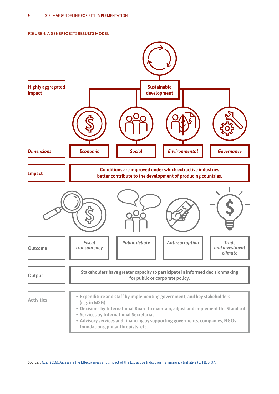

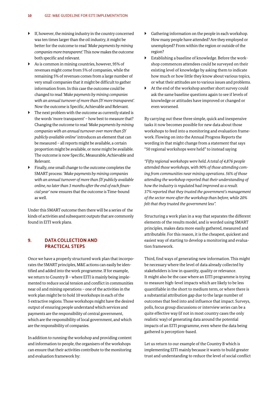- $\blacktriangleright$  If, however, the mining industry in the country concerned was ten times larger than the oil industry, it might be better for the outcome to read *'Make payments by mining companies more transparent'.* This now makes the outcome both specific and relevant.
- $\blacktriangleright$  As is common in mining countries, however, 95% of revenues might come from 5% of companies, while the remaining 5% of revenues comes from a large number of very small companies that it might be difficult to gather information from. In this case the outcome could be changed to read *'Make payments by mining companies with an annual turnover of more than \$Y more transparent'.* Now the outcome is Specific, Achievable and Relevant.
- $\blacktriangleright$  The next problem with the outcome as currently stated is the words 'more transparent' – how best to measure that? Changing the outcome to read *'Make payments by mining companies with an annual turnover over more than \$Y publicly available online'* introduces an element that can be measured – all reports might be available, a certain proportion might be available, or none might be available. The outcome is now Specific, Measurable, Achievable and Relevant.
- ` Finally, one small change to the outcome completes the SMART process: *'Make payments by mining companies with an annual turnover of more than \$Y publicly available online, no later than 3 months after the end of each financial year'* now ensures that the outcome is Time-bound as well.

Under this SMART outcome then there will be a series of the kinds of activities and subsequent outputs that are commonly found in EITI work plans.

#### **9. DATA COLLECTION AND PRACTICAL STEPS**

Once we have a properly structured work plan that incorporates the SMART principles, M&E actions can easily be identified and added into the work programme. If for example, we return to Country B – where EITI is mainly being implemented to reduce social tension and conflict in communities near oil and mining operations – one of the activities in the work plan might be to hold 10 workshops in each of the 5 extractive regions. Those workshops might have the desired output of ensuring people understand which services and payments are the responsibility of central government, which are the responsibility of local government, and which are the responsibility of companies.

In addition to running the workshop and providing content and information to people, the organisers of the workshops can ensure that their activities contribute to the monitoring and evaluation framework by:

- $\blacktriangleright$  Gathering information on the people in each workshop. How many people have attended? Are they employed or unemployed? From within the region or outside of the region?
- $\blacktriangleright$  Establishing a baseline of knowledge. Before the workshop commences attendees could be surveyed on their existing level of knowledge by asking them to indicate how much or how little they know about various topics, or what their attitudes are to various issues and problems.
- ` At the end of the workshop another short survey could ask the same baseline questions again to see if levels of knowledge or attitudes have improved or changed or even worsened.

By carrying out these three simple, quick and inexpensive tasks it now becomes possible for new data about those workshops to feed into a monitoring and evaluation framework. Flowing on into the Annual Progress Reports the wording in that might change from a statement that says "50 regional workshops were held" to instead saying

*"Fifty regional workshops were held. A total of 4,876 people attended those workshops, with 90% of those attending coming from communities near mining operations. 56% of those attending the workshop reported that their understanding of how the industry is regulated had improved as a result. 37% reported that they trusted the government's management of the sector more after the workshop than before, while 20% felt that they trusted the government less".*

Structuring a work plan in a way that separates the different elements of the results model, and is worded using SMART principles, makes data more easily gathered, measured and attributable. For this reason, it is the cheapest, quickest and easiest way of starting to develop a monitoring and evaluation framework.

Third, find ways of generating new information. This might be necessary where the level of data already collected by stakeholders is low in quantity, quality or relevance. It might also be the case where an EITI programme is trying to measure high-level impacts which are likely to be less quantifiable in the short to medium term, or where there is a substantial attribution gap due to the large number of outcomes that feed into and influence that impact. Surveys, polls, focus group discussions or interview series can be a quite effective way (if not in most country cases the only realistic way) of generating data around the potential impacts of an EITI programme, even where the data being gathered is perception-based.

Let us return to our example of the Country B which is implementing EITI mainly because it wants to build greater trust and understanding to reduce the level of social conflict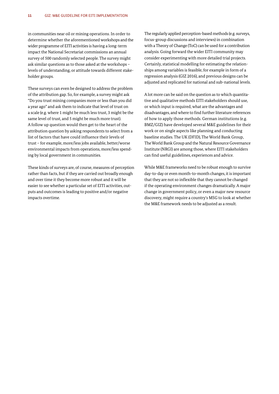in communities near oil or mining operations. In order to determine whether the aforementioned workshops and the wider programme of EITI activities is having a long-term impact the National Secretariat commissions an annual survey of 500 randomly selected people. The survey might ask similar questions as to those asked at the workshops – levels of understanding, or attitude towards different stakeholder groups.

These surveys can even be designed to address the problem of the attribution gap. So, for example, a survey might ask "Do you trust mining companies more or less than you did a year ago" and ask them to indicate that level of trust on a scale (e.g. where 1 might be much less trust, 3 might be the same level of trust, and 5 might be much more trust). A follow up question would then get to the heart of the attribution question by asking respondents to select from a list of factors that have could influence their levels of trust – for example, more/less jobs available, better/worse environmental impacts from operations, more/less spending by local government in communities.

These kinds of surveys are, of course, measures of perception rather than facts, but if they are carried out broadly enough and over time it they become more robust and it will be easier to see whether a particular set of EITI activities, outputs and outcomes is leading to positive and/or negative impacts overtime.

The regularly applied perception-based methods (e.g. surveys, focus-group discussions and interviews) in combination with a Theory of Change (ToC) can be used for a contribution analysis. Going forward the wider EITI community may consider experimenting with more detailed trial projects. Certainly, statistical modelling for estimating the relationships among variables is feasible, for example in form of a regression analysis (GIZ 2016), and previous designs can be adjusted and replicated for national and sub-national levels.

A lot more can be said on the question as to which quantitative and qualitative methods EITI stakeholders should use, or which input is required, what are the advantages and disadvantages, and where to find further literature references of how to apply those methods. German institutions (e.g. BMZ/GIZ) have developed several M&E guidelines for their work or on single aspects like planning and conducting baseline studies. The UK (DFID), The World Bank Group, The World Bank Group and the Natural Resource Governance Institute (NRGI) are among those, where EITI stakeholders can find useful guidelines, experiences and advice.

While M&E frameworks need to be robust enough to survive day-to-day or even month-to-month changes, it is important that they are not so inflexible that they cannot be changed if the operating environment changes dramatically. A major change in government policy, or even a major new resource discovery, might require a country's MSG to look at whether the M&E framework needs to be adjusted as a result.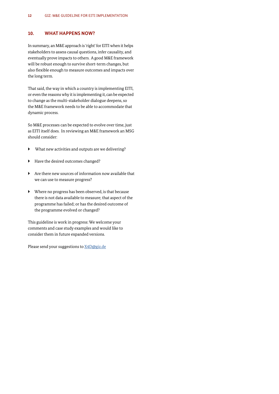#### **10. WHAT HAPPENS NOW?**

In summary, an M&E approach is 'right' for EITI when it helps stakeholders to assess causal questions, infer causality, and eventually prove impacts to others. A good M&E framework will be robust enough to survive short-term changes, but also flexible enough to measure outcomes and impacts over the long term.

That said, the way in which a country is implementing EITI, or even the reasons why it is implementing it, can be expected to change as the multi-stakeholder dialogue deepens, so the M&E framework needs to be able to accommodate that dynamic process.

So M&E processes can be expected to evolve over time, just as EITI itself does. In reviewing an M&E framework an MSG should consider:

- $\blacktriangleright$  What new activities and outputs are we delivering?
- ` Have the desired outcomes changed?
- $\blacktriangleright$  Are there new sources of information now available that we can use to measure progress?
- ` Where no progress has been observed, is that because there is not data available to measure; that aspect of the programme has failed; or has the desired outcome of the programme evolved or changed?

This guideline is work in progress: We welcome your comments and case study examples and would like to consider them in future expanded versions.

Please send your suggestions to X4D@giz.de